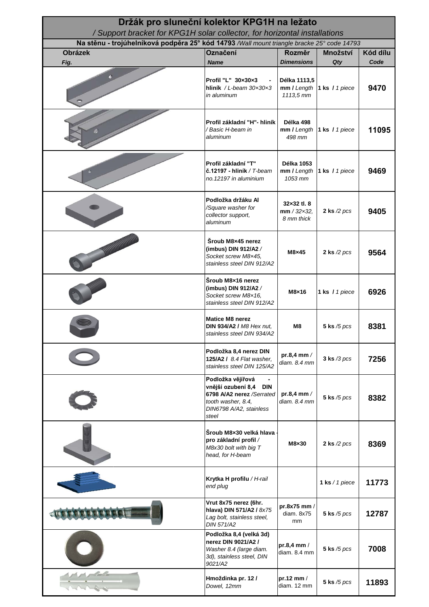| Držák pro sluneční kolektor KPG1H na ležato<br>/ Support bracket for KPG1H solar collector, for horizontal installations |                                                                                                                                              |                                                    |                              |          |
|--------------------------------------------------------------------------------------------------------------------------|----------------------------------------------------------------------------------------------------------------------------------------------|----------------------------------------------------|------------------------------|----------|
| Na stěnu - trojúhelníková podpěra 25° kód 14793 /Wall mount triangle bracke 25° code 14793                               |                                                                                                                                              |                                                    |                              |          |
| <b>Obrázek</b>                                                                                                           | Označení                                                                                                                                     | Rozměr                                             | Množství                     | Kód dílu |
| Fig.                                                                                                                     | <b>Name</b>                                                                                                                                  | <b>Dimensions</b>                                  | Qty                          | Code     |
|                                                                                                                          | Profil "L" 30x30x3<br>hliník / L-beam $30 \times 30 \times 3$<br>in aluminum                                                                 | Délka 1113,5<br>1113,5 mm                          | mm / Length  1 ks / 1 piece  | 9470     |
|                                                                                                                          | Profil základní "H"- hliník<br>/ Basic H-beam in<br>aluminum                                                                                 | Délka 498<br>498 mm                                | mm / Length   1 ks / 1 piece | 11095    |
|                                                                                                                          | Profil základní "T"<br>$\check{\mathbf{c}}$ .12197 - hliník / T-beam<br>no. 12197 in aluminium                                               | <b>Délka 1053</b><br>1053 mm                       | mm / Length  1 ks / 1 piece  | 9469     |
|                                                                                                                          | Podložka držáku Al<br>/Square washer for<br>collector support,<br>aluminum                                                                   | 32×32 tl. 8<br>$mm / 32 \times 32$ ,<br>8 mm thick | 2 ks $/2$ pcs                | 9405     |
|                                                                                                                          | Šroub M8×45 nerez<br>(imbus) DIN 912/A2 /<br>Socket screw M8x45,<br>stainless steel DIN 912/A2                                               | $M8\times 45$                                      | 2 ks $/2$ pcs                | 9564     |
|                                                                                                                          | Šroub M8x16 nerez<br>(imbus) DIN 912/A2 /<br>Socket screw M8x16,<br>stainless steel DIN 912/A2                                               | M8×16                                              | 1 ks / 1 piece               | 6926     |
|                                                                                                                          | <b>Matice M8 nerez</b><br><b>DIN 934/A2 / M8 Hex nut,</b><br>stainless steel DIN 934/A2                                                      | M <sub>8</sub>                                     | 5 ks $/5$ pcs                | 8381     |
|                                                                                                                          | Podložka 8,4 nerez DIN<br>125/A2 / 8.4 Flat washer,<br>stainless steel DIN 125/A2                                                            | pr.8,4 mm $/$<br>diam. 8.4 mm                      | $3$ ks $/3$ pcs              | 7256     |
|                                                                                                                          | Podložka vějířová<br>vnější ozubení 8,4<br><b>DIN</b><br>6798 A/A2 nerez /Serrated<br>tooth washer, 8.4,<br>DIN6798 A/A2, stainless<br>steel | pr.8,4 mm $/$<br>diam. 8.4 mm                      | 5 ks $/5$ pcs                | 8382     |
|                                                                                                                          | Šroub M8×30 velká hlava<br>pro základní profil /<br>M8x30 bolt with big T<br>head, for H-beam                                                | M8×30                                              | 2 ks $/2$ pcs                | 8369     |
|                                                                                                                          | Krytka H profilu / H-rail<br>end plug                                                                                                        |                                                    | 1 ks $/ 1$ piece             | 11773    |
|                                                                                                                          | Vrut 8x75 nerez (6hr.<br>hlava) DIN 571/A2 / 8x75<br>Lag bolt, stainless steel,<br><b>DIN 571/A2</b>                                         | pr.8x75 mm /<br>diam. 8x75<br>mm                   | 5 ks $/5$ pcs                | 12787    |
|                                                                                                                          | Podložka 8,4 (velká 3d)<br>nerez DIN 9021/A2 /<br>Washer 8.4 (large diam.<br>3d), stainless steel, DIN<br>9021/A2                            | pr.8,4 mm /<br>diam. 8.4 mm                        | 5 ks $/5$ pcs                | 7008     |
|                                                                                                                          | Hmoždinka pr. 12/<br>Dowel, 12mm                                                                                                             | pr.12 mm /<br>diam. 12 mm                          | 5 ks $/5$ pcs                | 11893    |